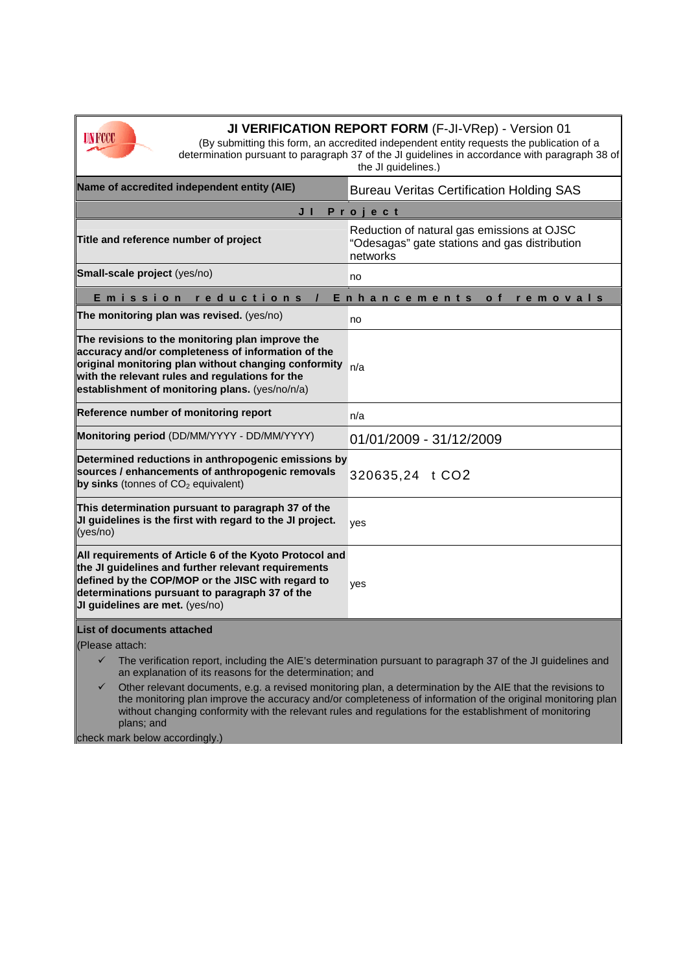

**JI VERIFICATION REPORT FORM** (F-JI-VRep) - Version 01

(By submitting this form, an accredited independent entity requests the publication of a determination pursuant to paragraph 37 of the JI guidelines in accordance with paragraph 38 of the JI guidelines.)

| Name of accredited independent entity (AIE)                                                                                                                                                                                                                                                                                               | <b>Bureau Veritas Certification Holding SAS</b>                                                         |
|-------------------------------------------------------------------------------------------------------------------------------------------------------------------------------------------------------------------------------------------------------------------------------------------------------------------------------------------|---------------------------------------------------------------------------------------------------------|
| Project<br>JI                                                                                                                                                                                                                                                                                                                             |                                                                                                         |
| Title and reference number of project                                                                                                                                                                                                                                                                                                     | Reduction of natural gas emissions at OJSC<br>"Odesagas" gate stations and gas distribution<br>networks |
| Small-scale project (yes/no)                                                                                                                                                                                                                                                                                                              | no                                                                                                      |
| Emission<br>reductions<br>Enhancements<br>o f<br>removals                                                                                                                                                                                                                                                                                 |                                                                                                         |
| The monitoring plan was revised. (yes/no)                                                                                                                                                                                                                                                                                                 | no                                                                                                      |
| The revisions to the monitoring plan improve the<br>accuracy and/or completeness of information of the<br>original monitoring plan without changing conformity<br>with the relevant rules and regulations for the<br>establishment of monitoring plans. (yes/no/n/a)                                                                      | n/a                                                                                                     |
| Reference number of monitoring report                                                                                                                                                                                                                                                                                                     | n/a                                                                                                     |
| Monitoring period (DD/MM/YYYY - DD/MM/YYYY)                                                                                                                                                                                                                                                                                               | 01/01/2009 - 31/12/2009                                                                                 |
| Determined reductions in anthropogenic emissions by<br>sources / enhancements of anthropogenic removals<br>by sinks (tonnes of $CO2$ equivalent)                                                                                                                                                                                          | 320635,24 t CO2                                                                                         |
| This determination pursuant to paragraph 37 of the<br>JI guidelines is the first with regard to the JI project.<br>(yes/no)                                                                                                                                                                                                               | yes                                                                                                     |
| All requirements of Article 6 of the Kyoto Protocol and<br>the JI guidelines and further relevant requirements<br>defined by the COP/MOP or the JISC with regard to<br>determinations pursuant to paragraph 37 of the<br>JI guidelines are met. (yes/no)                                                                                  | yes                                                                                                     |
| List of documents attached                                                                                                                                                                                                                                                                                                                |                                                                                                         |
| (Please attach:                                                                                                                                                                                                                                                                                                                           |                                                                                                         |
| The verification report, including the AIE's determination pursuant to paragraph 37 of the JI guidelines and<br>an explanation of its reasons for the determination; and                                                                                                                                                                  |                                                                                                         |
| Other relevant documents, e.g. a revised monitoring plan, a determination by the AIE that the revisions to<br>✓<br>the monitoring plan improve the accuracy and/or completeness of information of the original monitoring plan<br>without changing conformity with the relevant rules and regulations for the establishment of monitoring |                                                                                                         |

plans; and

check mark below accordingly.)